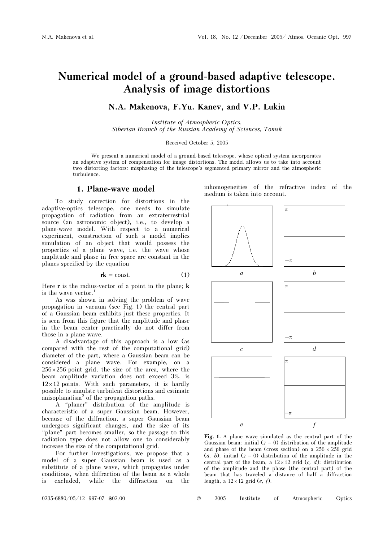# Numerical model of a ground-based adaptive telescope. Analysis of image distortions

### N.A. Makenova, F.Yu. Kanev, and V.P. Lukin

Institute of Atmospheric Optics, Siberian Branch of the Russian Academy of Sciences, Tomsk

Received October 5, 2005

We present a numerical model of a ground-based telescope, whose optical system incorporates an adaptive system of compensation for image distortions. The model allows us to take into account two distorting factors: misphasing of the telescope's segmented primary mirror and the atmospheric turbulence.

#### 1. Plane-wave model

To study correction for distortions in the adaptive-optics telescope, one needs to simulate propagation of radiation from an extraterrestrial source (an astronomic object), i.e., to develop a plane-wave model. With respect to a numerical experiment, construction of such a model implies simulation of an object that would possess the properties of a plane wave, i.e. the wave whose amplitude and phase in free space are constant in the planes specified by the equation

$$
rk = \text{const.} \tag{1}
$$

Here  $\bf{r}$  is the radius-vector of a point in the plane;  $\bf{k}$ is the wave vector.<sup>1</sup>

As was shown in solving the problem of wave propagation in vacuum (see Fig. 1) the central part of a Gaussian beam exhibits just these properties. It is seen from this figure that the amplitude and phase in the beam center practically do not differ from those in a plane wave.

A disadvantage of this approach is a low (as compared with the rest of the computational grid) diameter of the part, where a Gaussian beam can be considered a plane wave. For example, on a  $256 \times 256$  point grid, the size of the area, where the beam amplitude variation does not exceed 3%, is  $12 \times 12$  points. With such parameters, it is hardly possible to simulate turbulent distortions and estimate anisoplanatism<sup>2</sup> of the propagation paths.

A "planer" distribution of the amplitude is characteristic of a super Gaussian beam. However, because of the diffraction, a super Gaussian beam undergoes significant changes, and the size of its "plane" part becomes smaller, so the passage to this radiation type does not allow one to considerably increase the size of the computational grid.

For further investigations, we propose that a model of a super Gaussian beam is used as a substitute of a plane wave, which propagates under conditions, when diffraction of the beam as a whole is excluded, while the diffraction on the

inhomogeneities of the refractive index of the medium is taken into account.



Fig. 1. A plane wave simulated as the central part of the Gaussian beam: initial  $(z = 0)$  distribution of the amplitude and phase of the beam (cross section) on a  $256 \times 256$  grid  $(a, b)$ ; initial  $(z = 0)$  distribution of the amplitude in the central part of the beam, a  $12 \times 12$  grid (c, d); distribution of the amplitude and the phase (the central part) of the beam that has traveled a distance of half a diffraction length, a  $12 \times 12$  grid (*e*, *f*).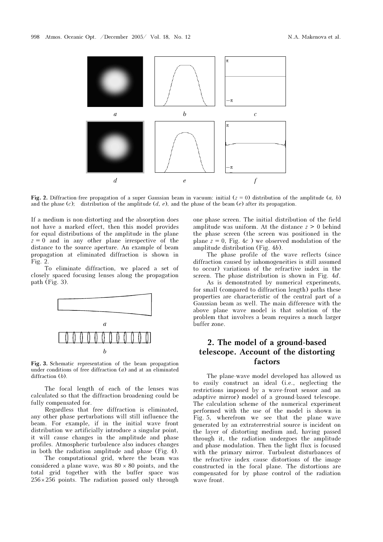

Fig. 2. Diffraction-free propagation of a super Gaussian beam in vacuum: initial  $(z = 0)$  distribution of the amplitude  $(a, b)$ and the phase (c); distribution of the amplitude  $(d, e)$ , and the phase of the beam (e) after its propagation.

If a medium is non-distorting and the absorption does not have a marked effect, then this model provides for equal distributions of the amplitude in the plane  $z = 0$  and in any other plane irrespective of the distance to the source aperture. An example of beam propagation at eliminated diffraction is shown in Fig. 2.

To eliminate diffraction, we placed a set of closely spaced focusing lenses along the propagation path (Fig. 3).



Fig. 3. Schematic representation of the beam propagation under conditions of free diffraction (a) and at an eliminated diffraction (b).

The focal length of each of the lenses was calculated so that the diffraction broadening could be fully compensated for.

Regardless that free diffraction is eliminated, any other phase perturbations will still influence the beam. For example, if in the initial wave front distribution we artificially introduce a singular point, it will cause changes in the amplitude and phase profiles. Atmospheric turbulence also induces changes in both the radiation amplitude and phase (Fig. 4).

 The computational grid, where the beam was considered a plane wave, was  $80 \times 80$  points, and the total grid together with the buffer space was  $256 \times 256$  points. The radiation passed only through one phase screen. The initial distribution of the field amplitude was uniform. At the distance  $z \geq 0$  behind the phase screen (the screen was positioned in the plane  $z = 0$ , Fig. 4c) we observed modulation of the amplitude distribution (Fig. 4b).

The phase profile of the wave reflects (since diffraction caused by inhomogeneities is still assumed to occur) variations of the refractive index in the screen. The phase distribution is shown in Fig. 4d.

 As is demonstrated by numerical experiments, for small (compared to diffraction length) paths these properties are characteristic of the central part of a Gaussian beam as well. The main difference with the above plane wave model is that solution of the problem that involves a beam requires a much larger buffer zone.

## 2. The model of a ground-based telescope. Account of the distorting factors

The plane-wave model developed has allowed us to easily construct an ideal (i.e., neglecting the restrictions imposed by a wave-front sensor and an adaptive mirror) model of a ground-based telescope. The calculation scheme of the numerical experiment performed with the use of the model is shown in Fig. 5, wherefrom we see that the plane wave generated by an extraterrestrial source is incident on the layer of distorting medium and, having passed through it, the radiation undergoes the amplitude and phase modulation. Then the light flux is focused with the primary mirror. Turbulent disturbances of the refractive index cause distortions of the image constructed in the focal plane. The distortions are compensated for by phase control of the radiation wave front.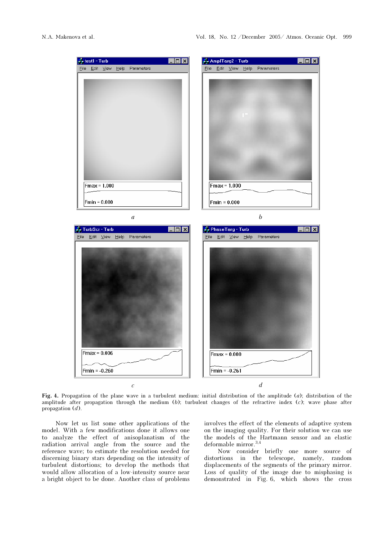

Fig. 4. Propagation of the plane wave in a turbulent medium: initial distribution of the amplitude (a); distribution of the amplitude after propagation through the medium  $(b)$ ; turbulent changes of the refractive index  $(c)$ ; wave phase after propagation  $(d)$ .

Now let us list some other applications of the model. With a few modifications done it allows one to analyze the effect of anisoplanatism of the radiation arrival angle from the source and the reference wave; to estimate the resolution needed for discerning binary stars depending on the intensity of turbulent distortions; to develop the methods that would allow allocation of a low-intensity source near a bright object to be done. Another class of problems involves the effect of the elements of adaptive system on the imaging quality. For their solution we can use the models of the Hartmann sensor and an elastic deformable mirror.<sup>3,4</sup>

Now consider briefly one more source of distortions in the telescope, namely, random displacements of the segments of the primary mirror. Loss of quality of the image due to misphasing is demonstrated in Fig. 6, which shows the cross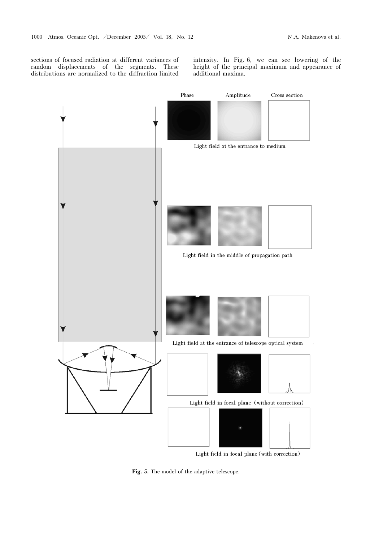sections of focused radiation at different variances of random displacements of the segments. These distributions are normalized to the diffraction-limited

intensity. In Fig. 6, we can see lowering of the height of the principal maximum and appearance of additional maxima.



Light field in focal plane (with correction)

Fig. 5. The model of the adaptive telescope.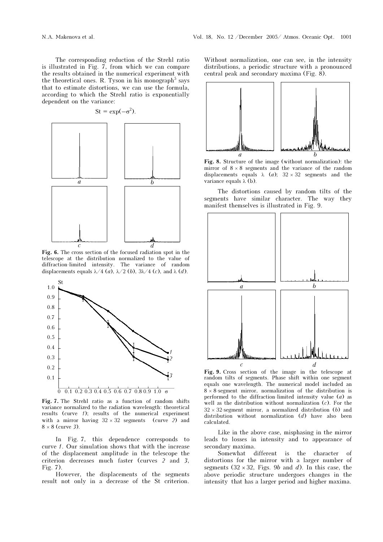The corresponding reduction of the Strehl ratio is illustrated in Fig. 7, from which we can compare the results obtained in the numerical experiment with the theoretical ones. R. Tyson in his monograph<sup>5</sup> says that to estimate distortions, we can use the formula, according to which the Strehl ratio is exponentially dependent on the variance:

 $St = exp(-\sigma^2)$ .



Fig. 6. The cross section of the focused radiation spot in the telescope at the distribution normalized to the value of diffraction-limited intensity. The variance of random displacements equals  $\lambda/4$  (*a*),  $\lambda/2$  (*b*),  $3\lambda/4$  (*c*), and  $\lambda$  (*d*).



Fig. 7. The Strehl ratio as a function of random shifts variance normalized to the radiation wavelength: theoretical results (curve 1); results of the numerical experiment with a mirror having  $32 \times 32$  segments (curve 2) and  $8 \times 8$  (curve 3).

In Fig. 7, this dependence corresponds to curve 1. Our simulation shows that with the increase of the displacement amplitude in the telescope the criterion decreases much faster (curves 2 and 3, Fig. 7).

However, the displacements of the segments result not only in a decrease of the St criterion.

Without normalization, one can see, in the intensity distributions, a periodic structure with a pronounced central peak and secondary maxima (Fig. 8).



Fig. 8. Structure of the image (without normalization): the mirror of  $8 \times 8$  segments and the variance of the random displacements equals  $\lambda$  (*a*);  $32 \times 32$  segments and the variance equals  $\lambda$  (b).

The distortions caused by random tilts of the segments have similar character. The way they manifest themselves is illustrated in Fig. 9.



Fig. 9. Cross section of the image in the telescope at random tilts of segments. Phase shift within one segment equals one wavelength. The numerical model included an  $8 \times 8$ -segment mirror, normalization of the distribution is performed to the diffraction-limited intensity value  $(a)$  as well as the distribution without normalization  $(c)$ . For the  $32 \times 32$ -segment mirror, a normalized distribution (b) and distribution without normalization (d) have also been calculated.

Like in the above case, misphasing in the mirror leads to losses in intensity and to appearance of secondary maxima.

Somewhat different is the character of distortions for the mirror with a larger number of segments  $(32 \times 32,$  Figs. 9b and d). In this case, the above periodic structure undergoes changes in the intensity that has a larger period and higher maxima.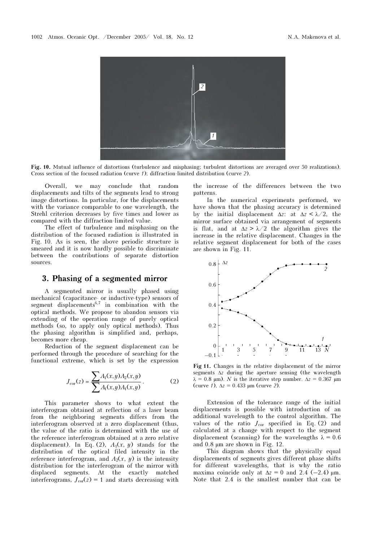

Fig. 10. Mutual influence of distortions (turbulence and misphasing; turbulent distortions are averaged over 50 realizations). Cross section of the focused radiation (curve 1); diffraction-limited distribution (curve 2).

Overall, we may conclude that random displacements and tilts of the segments lead to strong image distortions. In particular, for the displacements with the variance comparable to one wavelength, the Strehl criterion decreases by five times and lower as compared with the diffraction-limited value.

The effect of turbulence and misphasing on the distribution of the focused radiation is illustrated in Fig. 10. As is seen, the above periodic structure is smeared and it is now hardly possible to discriminate between the contributions of separate distortion sources.

### 3. Phasing of a segmented mirror

A segmented mirror is usually phased using mechanical (capacitance- or inductive-type) sensors of segment displacements<sup>6,7</sup> in combination with the optical methods. We propose to abandon sensors via extending of the operation range of purely optical methods (so, to apply only optical methods). Thus the phasing algorithm is simplified and, perhaps, becomes more cheap.

Reduction of the segment displacement can be performed through the procedure of searching for the functional extreme, which is set by the expression

$$
J_{\rm cor}(z) = \frac{\sum A_{\rm I}(x, y) A_{\rm 2}(x, y)}{\sum A_{\rm I}(x, y) A_{\rm I}(x, y)}.\tag{2}
$$

This parameter shows to what extent the interferogram obtained at reflection of a laser beam from the neighboring segments differs from the interferogram observed at a zero displacement (thus, the value of the ratio is determined with the use of the reference interferogram obtained at a zero relative displacement). In Eq. (2),  $A_1(x, y)$  stands for the distribution of the optical filed intensity in the reference interferogram, and  $A_2(x, y)$  is the intensity distribution for the interferogram of the mirror with displaced segments. At the exactly matched interferograms,  $J_{\text{cor}}(z) = 1$  and starts decreasing with the increase of the differences between the two patterns.

In the numerical experiments performed, we have shown that the phasing accuracy is determined by the initial displacement  $\Delta z$ : at  $\Delta z < \lambda/2$ , the mirror surface obtained via arrangement of segments is flat, and at  $\Delta z > \lambda/2$  the algorithm gives the increase in the relative displacement. Changes in the relative segment displacement for both of the cases are shown in Fig. 11.



Fig 11. Changes in the relative displacement of the mirror segments  $\Delta z$  during the aperture sensing (the wavelength  $\lambda = 0.8$  μm). N is the iterative step number.  $\Delta z = 0.367$  μm (curve 1),  $\Delta z = 0.433$  µm (curve 2).

Extension of the tolerance range of the initial displacements is possible with introduction of an additional wavelength to the control algorithm. The values of the ratio  $J_{\text{cor}}$  specified in Eq. (2) and calculated at a change with respect to the segment displacement (scanning) for the wavelengths  $\lambda = 0.6$ and 0.8 µm are shown in Fig. 12.

This diagram shows that the physically equal displacements of segments gives different phase shifts for different wavelengths, that is why the ratio maxima coincide only at  $\Delta z = 0$  and 2.4 (–2.4)  $\mu$ m. Note that 2.4 is the smallest number that can be